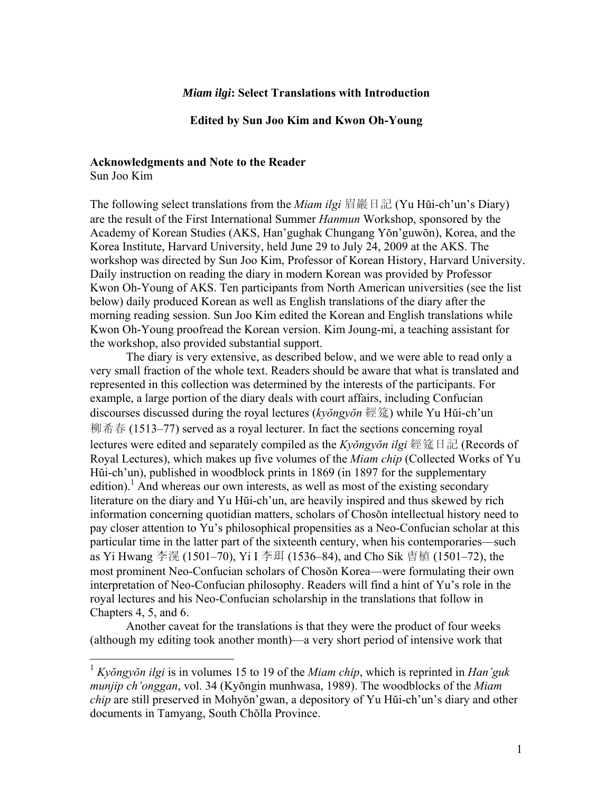### *Miam ilgi***: Select Translations with Introduction**

**Edited by Sun Joo Kim and Kwon Oh-Young** 

### **Acknowledgments and Note to the Reader**

Sun Joo Kim

 $\overline{a}$ 

The following select translations from the *Miam ilgi* 眉巖日記 (Yu Hŭi-ch'un's Diary) are the result of the First International Summer *Hanmun* Workshop, sponsored by the Academy of Korean Studies (AKS, Han'gughak Chungang Yŏn'guwŏn), Korea, and the Korea Institute, Harvard University, held June 29 to July 24, 2009 at the AKS. The workshop was directed by Sun Joo Kim, Professor of Korean History, Harvard University. Daily instruction on reading the diary in modern Korean was provided by Professor Kwon Oh-Young of AKS. Ten participants from North American universities (see the list below) daily produced Korean as well as English translations of the diary after the morning reading session. Sun Joo Kim edited the Korean and English translations while Kwon Oh-Young proofread the Korean version. Kim Joung-mi, a teaching assistant for the workshop, also provided substantial support.

The diary is very extensive, as described below, and we were able to read only a very small fraction of the whole text. Readers should be aware that what is translated and represented in this collection was determined by the interests of the participants. For example, a large portion of the diary deals with court affairs, including Confucian discourses discussed during the royal lectures (*kyŏngyŏn* 經筵) while Yu Hŭi-ch'un 柳希春 (1513–77) served as a royal lecturer. In fact the sections concerning royal lectures were edited and separately compiled as the *Kyŏngyŏn ilgi* 經筵日記 (Records of Royal Lectures), which makes up five volumes of the *Miam chip* (Collected Works of Yu Hŭi-ch'un), published in woodblock prints in 1869 (in 1897 for the supplementary edition).<sup>1</sup> And whereas our own interests, as well as most of the existing secondary literature on the diary and Yu Hŭi-ch'un, are heavily inspired and thus skewed by rich information concerning quotidian matters, scholars of Chosŏn intellectual history need to pay closer attention to Yu's philosophical propensities as a Neo-Confucian scholar at this particular time in the latter part of the sixteenth century, when his contemporaries—such as Yi Hwang 李滉 (1501–70), Yi I 李珥 (1536–84), and Cho Sik 曺植 (1501–72), the most prominent Neo-Confucian scholars of Chosŏn Korea—were formulating their own interpretation of Neo-Confucian philosophy. Readers will find a hint of Yu's role in the royal lectures and his Neo-Confucian scholarship in the translations that follow in Chapters 4, 5, and 6.

Another caveat for the translations is that they were the product of four weeks (although my editing took another month)—a very short period of intensive work that

<sup>1</sup> *Kyŏngyŏn ilgi* is in volumes 15 to 19 of the *Miam chip*, which is reprinted in *Han'guk munjip ch'onggan*, vol. 34 (Kyŏngin munhwasa, 1989). The woodblocks of the *Miam chip* are still preserved in Mohyŏn'gwan, a depository of Yu Hŭi-ch'un's diary and other documents in Tamyang, South Chŏlla Province.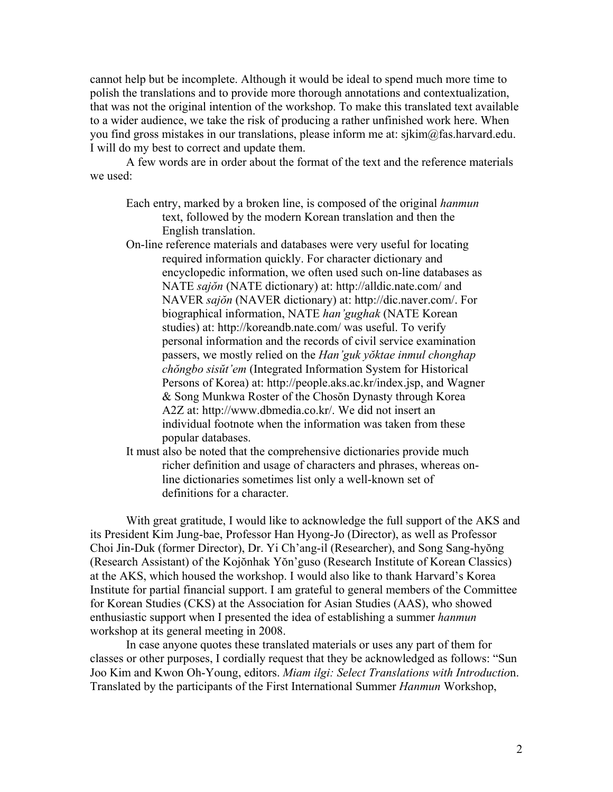cannot help but be incomplete. Although it would be ideal to spend much more time to polish the translations and to provide more thorough annotations and contextualization, that was not the original intention of the workshop. To make this translated text available to a wider audience, we take the risk of producing a rather unfinished work here. When you find gross mistakes in our translations, please inform me at: sjkim@fas.harvard.edu. I will do my best to correct and update them.

A few words are in order about the format of the text and the reference materials we used:

- Each entry, marked by a broken line, is composed of the original *hanmun* text, followed by the modern Korean translation and then the English translation.
- On-line reference materials and databases were very useful for locating required information quickly. For character dictionary and encyclopedic information, we often used such on-line databases as NATE *sajŏn* (NATE dictionary) at: http://alldic.nate.com/ and NAVER *sajŏn* (NAVER dictionary) at: http://dic.naver.com/. For biographical information, NATE *han'gughak* (NATE Korean studies) at: http://koreandb.nate.com/ was useful. To verify personal information and the records of civil service examination passers, we mostly relied on the *Han'guk yŏktae inmul chonghap chŏngbo sisŭt'em* (Integrated Information System for Historical Persons of Korea) at: http://people.aks.ac.kr/index.jsp, and Wagner & Song Munkwa Roster of the Chosŏn Dynasty through Korea A2Z at: http://www.dbmedia.co.kr/. We did not insert an individual footnote when the information was taken from these popular databases.
- It must also be noted that the comprehensive dictionaries provide much richer definition and usage of characters and phrases, whereas online dictionaries sometimes list only a well-known set of definitions for a character.

With great gratitude, I would like to acknowledge the full support of the AKS and its President Kim Jung-bae, Professor Han Hyong-Jo (Director), as well as Professor Choi Jin-Duk (former Director), Dr. Yi Ch'ang-il (Researcher), and Song Sang-hyŏng (Research Assistant) of the Kojŏnhak Yŏn'guso (Research Institute of Korean Classics) at the AKS, which housed the workshop. I would also like to thank Harvard's Korea Institute for partial financial support. I am grateful to general members of the Committee for Korean Studies (CKS) at the Association for Asian Studies (AAS), who showed enthusiastic support when I presented the idea of establishing a summer *hanmun* workshop at its general meeting in 2008.

In case anyone quotes these translated materials or uses any part of them for classes or other purposes, I cordially request that they be acknowledged as follows: "Sun Joo Kim and Kwon Oh-Young, editors. *Miam ilgi: Select Translations with Introductio*n. Translated by the participants of the First International Summer *Hanmun* Workshop,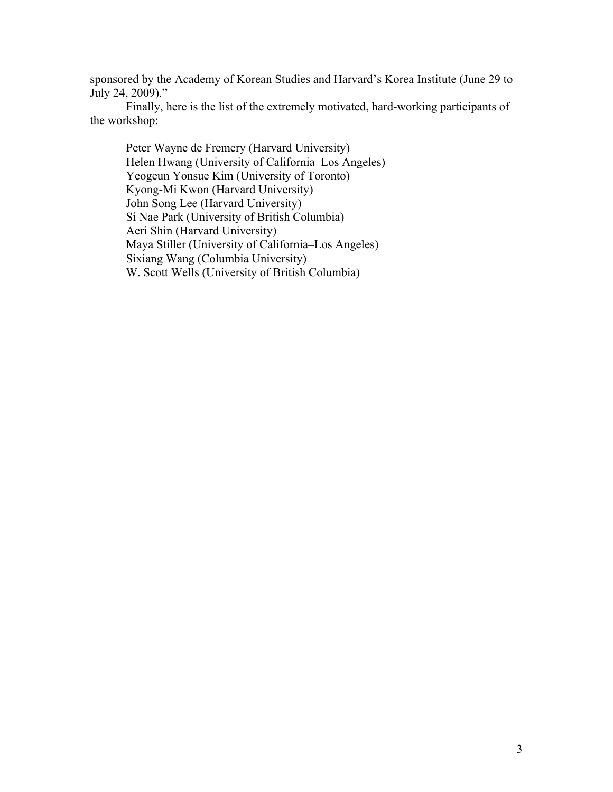sponsored by the Academy of Korean Studies and Harvard's Korea Institute (June 29 to July 24, 2009)."

Finally, here is the list of the extremely motivated, hard-working participants of the workshop:

Peter Wayne de Fremery (Harvard University) Helen Hwang (University of California–Los Angeles) Yeogeun Yonsue Kim (University of Toronto) Kyong-Mi Kwon (Harvard University) John Song Lee (Harvard University) Si Nae Park (University of British Columbia) Aeri Shin (Harvard University) Maya Stiller (University of California–Los Angeles) Sixiang Wang (Columbia University) W. Scott Wells (University of British Columbia)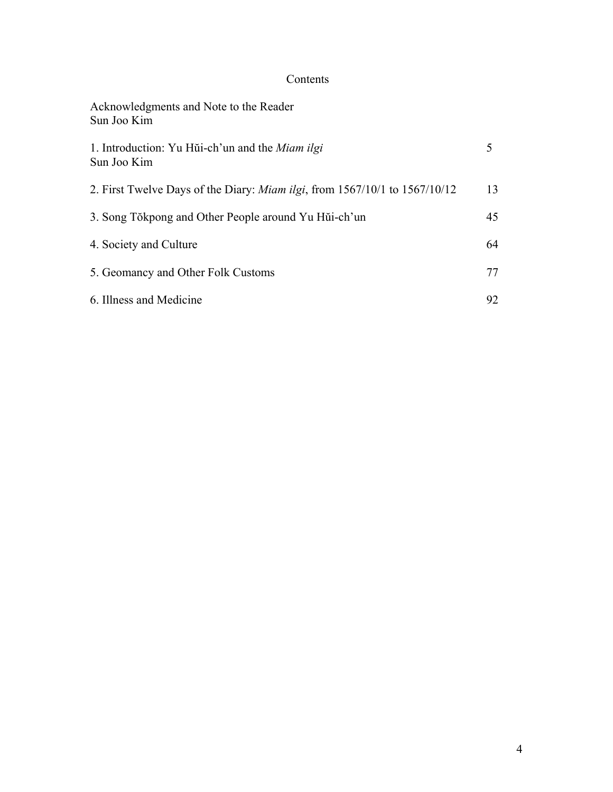# Contents

| Acknowledgments and Note to the Reader<br>Sun Joo Kim                              |    |
|------------------------------------------------------------------------------------|----|
| 1. Introduction: Yu Hui-ch'un and the <i>Miam ilgi</i><br>Sun Joo Kim              | 5  |
| 2. First Twelve Days of the Diary: <i>Miam ilgi</i> , from 1567/10/1 to 1567/10/12 | 13 |
| 3. Song Tŏkpong and Other People around Yu Hŭi-ch'un                               | 45 |
| 4. Society and Culture                                                             | 64 |
| 5. Geomancy and Other Folk Customs                                                 | 77 |
| 6. Illness and Medicine                                                            | 92 |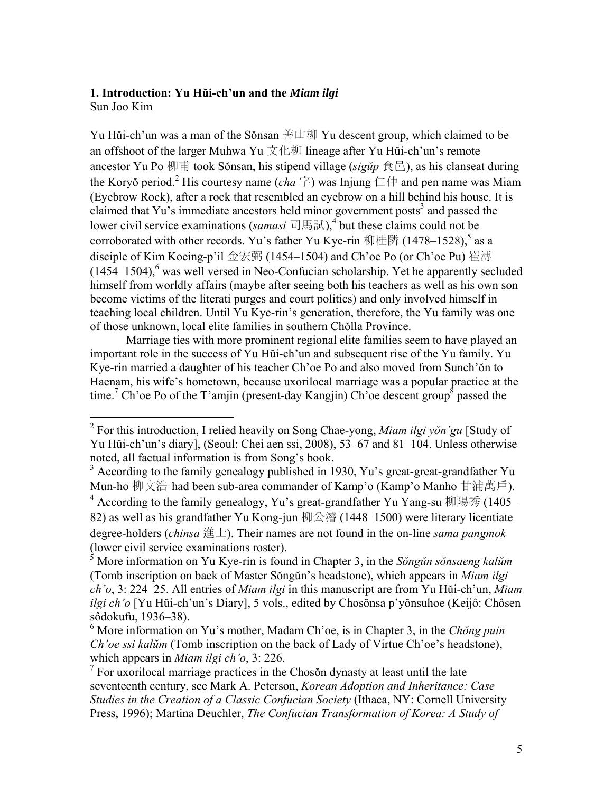## **1. Introduction: Yu Hŭi-ch'un and the** *Miam ilgi*

Sun Joo Kim

Yu Hŭi-ch'un was a man of the Sŏnsan 善山柳 Yu descent group, which claimed to be an offshoot of the larger Muhwa Yu 文化柳 lineage after Yu Hǔi-ch'un's remote ancestor Yu Po 柳甫 took Sŏnsan, his stipend village (*sigŭp* 食邑), as his clanseat during the Koryŏ period.<sup>2</sup> His courtesy name (*cha* 字) was Injung 仁仲 and pen name was Miam (Eyebrow Rock), after a rock that resembled an eyebrow on a hill behind his house. It is claimed that Yu's immediate ancestors held minor government posts<sup>3</sup> and passed the lower civil service examinations (*samasi* 司馬試),<sup>4</sup> but these claims could not be corroborated with other records. Yu's father Yu Kye-rin 柳桂隣 (1478–1528),<sup>5</sup> as a disciple of Kim Koeing-p'il 金宏弼 (1454–1504) and Ch'oe Po (or Ch'oe Pu) 崔溥  $(1454-1504)$ , was well versed in Neo-Confucian scholarship. Yet he apparently secluded himself from worldly affairs (maybe after seeing both his teachers as well as his own son become victims of the literati purges and court politics) and only involved himself in teaching local children. Until Yu Kye-rin's generation, therefore, the Yu family was one of those unknown, local elite families in southern Chŏlla Province.

Marriage ties with more prominent regional elite families seem to have played an important role in the success of Yu Hŭi-ch'un and subsequent rise of the Yu family. Yu Kye-rin married a daughter of his teacher Ch'oe Po and also moved from Sunch'ŏn to Haenam, his wife's hometown, because uxorilocal marriage was a popular practice at the time.<sup>7</sup> Ch'oe Po of the T'amjin (present-day Kangjin) Ch'oe descent group<sup>8</sup> passed the

 2 For this introduction, I relied heavily on Song Chae-yong, *Miam ilgi yŏn'gu* [Study of Yu Hŭi-ch'un's diary], (Seoul: Chei aen ssi, 2008), 53–67 and 81–104. Unless otherwise noted, all factual information is from Song's book.

<sup>&</sup>lt;sup>3</sup> According to the family genealogy published in 1930, Yu's great-great-grandfather Yu Mun-ho 柳文浩 had been sub-area commander of Kamp'o (Kamp'o Manho 甘浦萬戶).

<sup>&</sup>lt;sup>4</sup> According to the family genealogy, Yu's great-grandfather Yu Yang-su 柳陽秀 (1405– 82) as well as his grandfather Yu Kong-jun 柳公濬 (1448–1500) were literary licentiate degree-holders (*chinsa* 進士). Their names are not found in the on-line *sama pangmok* (lower civil service examinations roster).

<sup>5</sup> More information on Yu Kye-rin is found in Chapter 3, in the *Sŏngŭn sŏnsaeng kalŭm* (Tomb inscription on back of Master Sŏngŭn's headstone), which appears in *Miam ilgi ch'o*, 3: 224–25. All entries of *Miam ilgi* in this manuscript are from Yu Hŭi-ch'un, *Miam ilgi ch'o* [Yu Hŭi-ch'un's Diary], 5 vols., edited by Chosŏnsa p'yŏnsuhoe (Keijô: Chôsen sôdokufu, 1936–38).

<sup>6</sup> More information on Yu's mother, Madam Ch'oe, is in Chapter 3, in the *Chŏng puin Ch'oe ssi kalŭm* (Tomb inscription on the back of Lady of Virtue Ch'oe's headstone), which appears in *Miam ilgi ch'o*, 3: 226.

<sup>&</sup>lt;sup>7</sup> For uxorilocal marriage practices in the Chosŏn dynasty at least until the late seventeenth century, see Mark A. Peterson, *Korean Adoption and Inheritance: Case Studies in the Creation of a Classic Confucian Society* (Ithaca, NY: Cornell University Press, 1996); Martina Deuchler, *The Confucian Transformation of Korea: A Study of*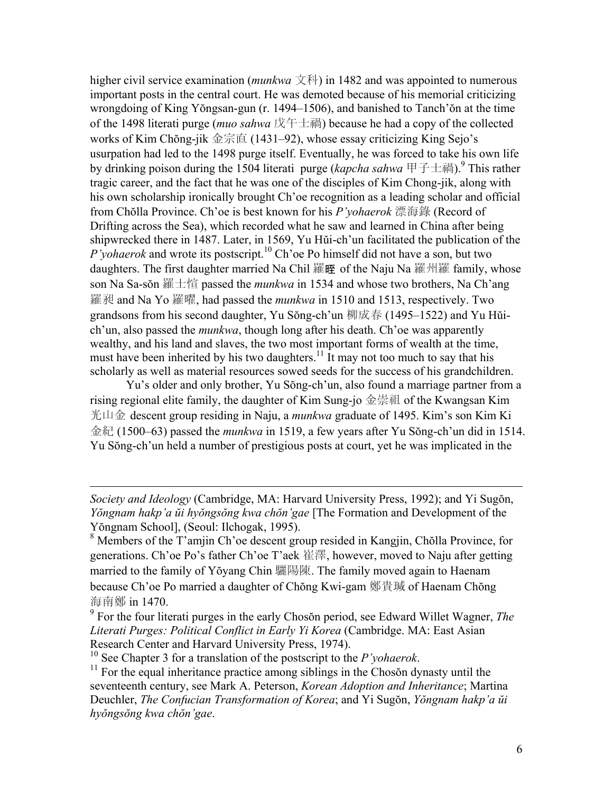higher civil service examination (*munkwa* 文科) in 1482 and was appointed to numerous important posts in the central court. He was demoted because of his memorial criticizing wrongdoing of King Yŏngsan-gun (r. 1494–1506), and banished to Tanch'ŏn at the time of the 1498 literati purge (*muo sahwa* 戊午士禍) because he had a copy of the collected works of Kim Chŏng-jik 金宗直 (1431–92), whose essay criticizing King Sejo's usurpation had led to the 1498 purge itself. Eventually, he was forced to take his own life by drinking poison during the 1504 literati purge (*kapcha sahwa* 甲子士禍).<sup>9</sup> This rather tragic career, and the fact that he was one of the disciples of Kim Chong-jik, along with his own scholarship ironically brought Ch'oe recognition as a leading scholar and official from Chŏlla Province. Ch'oe is best known for his *P'yohaerok* 漂海錄 (Record of Drifting across the Sea), which recorded what he saw and learned in China after being shipwrecked there in 1487. Later, in 1569, Yu Hŭi-ch'un facilitated the publication of the *P'yohaerok* and wrote its postscript.10 Ch'oe Po himself did not have a son, but two daughters. The first daughter married Na Chil 羅晊 of the Naju Na 羅州羅 family, whose son Na Sa-sŏn 羅士愃 passed the *munkwa* in 1534 and whose two brothers, Na Ch'ang 羅昶 and Na Yo 羅曜, had passed the *munkwa* in 1510 and 1513, respectively. Two grandsons from his second daughter, Yu Sŏng-ch'un 柳成春 (1495–1522) and Yu Hŭich'un, also passed the *munkwa*, though long after his death. Ch'oe was apparently wealthy, and his land and slaves, the two most important forms of wealth at the time, must have been inherited by his two daughters.<sup>11</sup> It may not too much to say that his scholarly as well as material resources sowed seeds for the success of his grandchildren.

Yu's older and only brother, Yu Sŏng-ch'un, also found a marriage partner from a rising regional elite family, the daughter of Kim Sung-jo 金崇祖 of the Kwangsan Kim 光山金 descent group residing in Naju, a *munkwa* graduate of 1495. Kim's son Kim Ki 金紀 (1500–63) passed the *munkwa* in 1519, a few years after Yu Sŏng-ch'un did in 1514. Yu Sŏng-ch'un held a number of prestigious posts at court, yet he was implicated in the

 $\overline{a}$ 

*Society and Ideology* (Cambridge, MA: Harvard University Press, 1992); and Yi Sugŏn, *Yŏngnam hakp'a ŭi hyŏngsŏng kwa chŏn'gae* [The Formation and Development of the Yŏngnam School], (Seoul: Ilchogak, 1995).

<sup>&</sup>lt;sup>8</sup> Members of the T'amjin Ch'oe descent group resided in Kangjin, Chŏlla Province, for generations. Ch'oe Po's father Ch'oe T'aek 崔澤, however, moved to Naju after getting married to the family of Yŏyang Chin 驪陽陳. The family moved again to Haenam because Ch'oe Po married a daughter of Chŏng Kwi-gam 鄭貴瑊 of Haenam Chŏng 海南鄭 in 1470.

<sup>9</sup> For the four literati purges in the early Chosŏn period, see Edward Willet Wagner, *The Literati Purges: Political Conflict in Early Yi Korea* (Cambridge. MA: East Asian Research Center and Harvard University Press, 1974).<br><sup>10</sup> See Chapter 3 for a translation of the postscript to the *P'yohaerok*.

<sup>&</sup>lt;sup>11</sup> For the equal inheritance practice among siblings in the Chosŏn dynasty until the seventeenth century, see Mark A. Peterson, *Korean Adoption and Inheritance*; Martina Deuchler, *The Confucian Transformation of Korea*; and Yi Sugŏn, *Yŏngnam hakp'a ŭi hyŏngsŏng kwa chŏn'gae*.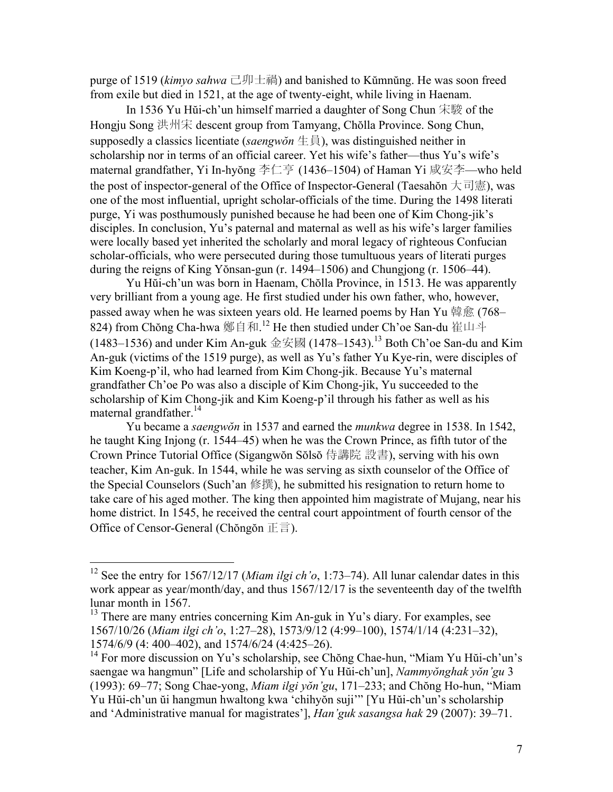purge of 1519 (*kimyo sahwa* 己卯士禍) and banished to Kŭmnŭng. He was soon freed from exile but died in 1521, at the age of twenty-eight, while living in Haenam.

In 1536 Yu Hŭi-ch'un himself married a daughter of Song Chun 宋駿 of the Hongju Song 洪州宋 descent group from Tamyang, Chŏlla Province. Song Chun, supposedly a classics licentiate (*saengwŏn* 生員), was distinguished neither in scholarship nor in terms of an official career. Yet his wife's father—thus Yu's wife's maternal grandfather, Yi In-hyŏng 李仁亨 (1436–1504) of Haman Yi 咸安李—who held the post of inspector-general of the Office of Inspector-General (Taesahŏn 大司憲), was one of the most influential, upright scholar-officials of the time. During the 1498 literati purge, Yi was posthumously punished because he had been one of Kim Chong-jik's disciples. In conclusion, Yu's paternal and maternal as well as his wife's larger families were locally based yet inherited the scholarly and moral legacy of righteous Confucian scholar-officials, who were persecuted during those tumultuous years of literati purges during the reigns of King Yŏnsan-gun (r. 1494–1506) and Chungjong (r. 1506–44).

Yu Hŭi-ch'un was born in Haenam, Chŏlla Province, in 1513. He was apparently very brilliant from a young age. He first studied under his own father, who, however, passed away when he was sixteen years old. He learned poems by Han Yu 韓愈 (768– 824) from Chŏng Cha-hwa 鄭自和.<sup>12</sup> He then studied under Ch'oe San-du 崔山斗 (1483–1536) and under Kim An-guk 金安國 (1478–1543).<sup>13</sup> Both Ch'oe San-du and Kim An-guk (victims of the 1519 purge), as well as Yu's father Yu Kye-rin, were disciples of Kim Koeng-p'il, who had learned from Kim Chong-jik. Because Yu's maternal grandfather Ch'oe Po was also a disciple of Kim Chong-jik, Yu succeeded to the scholarship of Kim Chong-jik and Kim Koeng-p'il through his father as well as his maternal grandfather.<sup>14</sup>

Yu became a *saengwŏn* in 1537 and earned the *munkwa* degree in 1538. In 1542, he taught King Injong (r. 1544–45) when he was the Crown Prince, as fifth tutor of the Crown Prince Tutorial Office (Sigangwŏn Sŏlsŏ 侍講院 設書), serving with his own teacher, Kim An-guk. In 1544, while he was serving as sixth counselor of the Office of the Special Counselors (Such'an 修撰), he submitted his resignation to return home to take care of his aged mother. The king then appointed him magistrate of Mujang, near his home district. In 1545, he received the central court appointment of fourth censor of the Office of Censor-General (Chŏngŏn 正言).

 $\overline{a}$ 

<sup>12</sup> See the entry for 1567/12/17 (*Miam ilgi ch'o*, 1:73–74). All lunar calendar dates in this work appear as year/month/day, and thus 1567/12/17 is the seventeenth day of the twelfth lunar month in 1567.

<sup>&</sup>lt;sup>13</sup> There are many entries concerning Kim An-guk in Yu's diary. For examples, see 1567/10/26 (*Miam ilgi ch'o*, 1:27–28), 1573/9/12 (4:99–100), 1574/1/14 (4:231–32), 1574/6/9 (4: 400–402), and 1574/6/24 (4:425–26).

<sup>&</sup>lt;sup>14</sup> For more discussion on Yu's scholarship, see Chong Chae-hun, "Miam Yu Hui-ch'un's saengae wa hangmun" [Life and scholarship of Yu Hŭi-ch'un], *Nammyŏnghak yŏn'gu* 3 (1993): 69–77; Song Chae-yong, *Miam ilgi yŏn'gu*, 171–233; and Chŏng Ho-hun, "Miam Yu Hŭi-ch'un ŭi hangmun hwaltong kwa 'chihyŏn suji'" [Yu Hŭi-ch'un's scholarship and 'Administrative manual for magistrates'], *Han'guk sasangsa hak* 29 (2007): 39–71.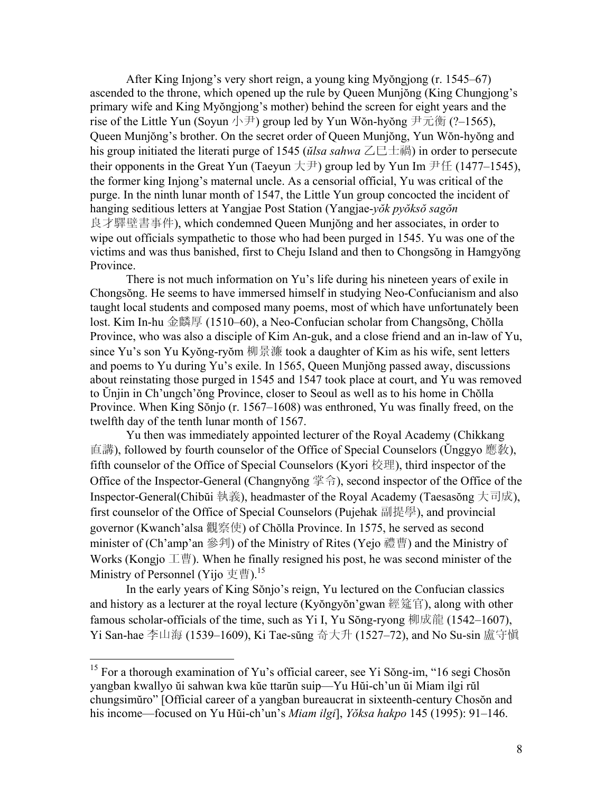After King Injong's very short reign, a young king Myŏngjong (r. 1545–67) ascended to the throne, which opened up the rule by Queen Munjŏng (King Chungjong's primary wife and King Myŏngjong's mother) behind the screen for eight years and the rise of the Little Yun (Soyun 小尹) group led by Yun Wŏn-hyŏng 尹元衡 (?–1565), Queen Munjŏng's brother. On the secret order of Queen Munjŏng, Yun Wŏn-hyŏng and his group initiated the literati purge of 1545 (*ŭlsa sahwa* 乙巳士禍) in order to persecute their opponents in the Great Yun (Taeyun  $\pm \pm 1$ ) group led by Yun Im  $\pm \pm 1$  (1477–1545). the former king Injong's maternal uncle. As a censorial official, Yu was critical of the purge. In the ninth lunar month of 1547, the Little Yun group concocted the incident of hanging seditious letters at Yangjae Post Station (Yangjae-*yŏk pyŏksŏ sagŏn* 良才驛壁書事件), which condemned Queen Munjŏng and her associates, in order to wipe out officials sympathetic to those who had been purged in 1545. Yu was one of the victims and was thus banished, first to Cheju Island and then to Chongsŏng in Hamgyŏng Province.

There is not much information on Yu's life during his nineteen years of exile in Chongsŏng. He seems to have immersed himself in studying Neo-Confucianism and also taught local students and composed many poems, most of which have unfortunately been lost. Kim In-hu 金麟厚 (1510–60), a Neo-Confucian scholar from Changsŏng, Chŏlla Province, who was also a disciple of Kim An-guk, and a close friend and an in-law of Yu, since Yu's son Yu Kyŏng-ryŏm 柳景濂 took a daughter of Kim as his wife, sent letters and poems to Yu during Yu's exile. In 1565, Queen Munjŏng passed away, discussions about reinstating those purged in 1545 and 1547 took place at court, and Yu was removed to Ŭnjin in Ch'ungch'ŏng Province, closer to Seoul as well as to his home in Chŏlla Province. When King Sŏnjo (r. 1567–1608) was enthroned, Yu was finally freed, on the twelfth day of the tenth lunar month of 1567.

Yu then was immediately appointed lecturer of the Royal Academy (Chikkang 直講), followed by fourth counselor of the Office of Special Counselors (Ŭnggyo 應敎), fifth counselor of the Office of Special Counselors (Kyori 校理), third inspector of the Office of the Inspector-General (Changnyŏng 掌令), second inspector of the Office of the Inspector-General(Chibŭi 執義), headmaster of the Royal Academy (Taesasŏng 大司成), first counselor of the Office of Special Counselors (Pujehak 副提學), and provincial governor (Kwanch'alsa 觀察使) of Chŏlla Province. In 1575, he served as second minister of (Ch'amp'an 參判) of the Ministry of Rites (Yejo 禮曹) and the Ministry of Works (Kongjo 工曹). When he finally resigned his post, he was second minister of the Ministry of Personnel (Yijo 吏曹).<sup>15</sup>

In the early years of King Sŏnjo's reign, Yu lectured on the Confucian classics and history as a lecturer at the royal lecture (Kyŏngyŏn'gwan 經筵官), along with other famous scholar-officials of the time, such as Yi I, Yu Sŏng-ryong 柳成龍 (1542–1607), Yi San-hae 李山海 (1539–1609), Ki Tae-sŭng 奇大升 (1527–72), and No Su-sin 盧守愼

 $\overline{a}$ 

<sup>&</sup>lt;sup>15</sup> For a thorough examination of Yu's official career, see Yi Sŏng-im, "16 segi Chosŏn yangban kwallyo ŭi sahwan kwa kŭe ttarŭn suip—Yu Hŭi-ch'un ŭi Miam ilgi rŭl chungsimŭro" [Official career of a yangban bureaucrat in sixteenth-century Chosŏn and his income—focused on Yu Hŭi-ch'un's *Miam ilgi*], *Yŏksa hakpo* 145 (1995): 91–146.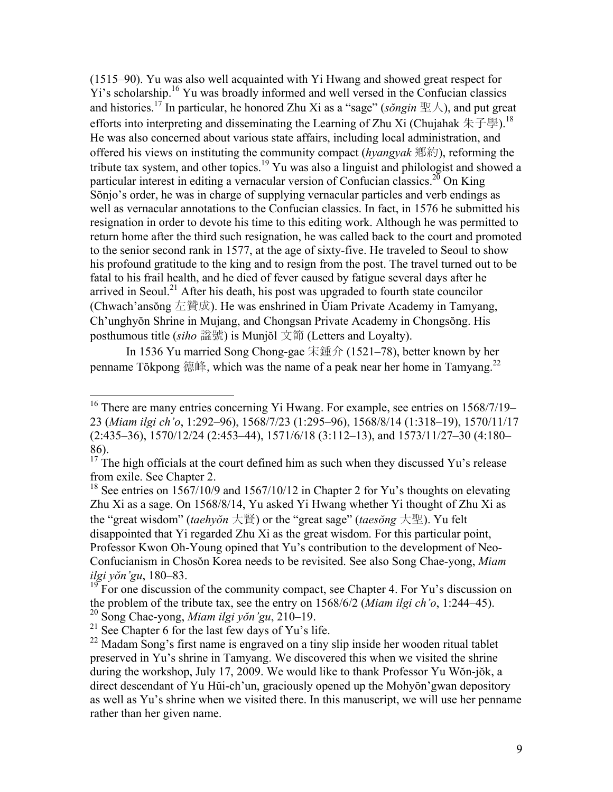(1515–90). Yu was also well acquainted with Yi Hwang and showed great respect for Yi's scholarship.<sup>16</sup> Yu was broadly informed and well versed in the Confucian classics and histories.<sup>17</sup> In particular, he honored Zhu Xi as a "sage" (*songin*  $\mathbb{E}(\lambda)$ , and put great efforts into interpreting and disseminating the Learning of Zhu Xi (Chujahak 朱子學).<sup>18</sup> He was also concerned about various state affairs, including local administration, and offered his views on instituting the community compact (*hyangyak* 鄕約), reforming the tribute tax system, and other topics.<sup>19</sup> Yu was also a linguist and philologist and showed a particular interest in editing a vernacular version of Confucian classics.<sup>20</sup> On King Sŏnjo's order, he was in charge of supplying vernacular particles and verb endings as well as vernacular annotations to the Confucian classics. In fact, in 1576 he submitted his resignation in order to devote his time to this editing work. Although he was permitted to return home after the third such resignation, he was called back to the court and promoted to the senior second rank in 1577, at the age of sixty-five. He traveled to Seoul to show his profound gratitude to the king and to resign from the post. The travel turned out to be fatal to his frail health, and he died of fever caused by fatigue several days after he arrived in Seoul.<sup>21</sup> After his death, his post was upgraded to fourth state councilor (Chwach'ansŏng 左贊成). He was enshrined in Ŭiam Private Academy in Tamyang, Ch'unghyŏn Shrine in Mujang, and Chongsan Private Academy in Chongsŏng. His posthumous title (*siho* 諡號) is Munjŏl 文節 (Letters and Loyalty).

In 1536 Yu married Song Chong-gae 宋鍾介 (1521–78), better known by her penname Tŏkpong 德峰, which was the name of a peak near her home in Tamyang.<sup>22</sup>

<sup>18</sup> See entries on 1567/10/9 and 1567/10/12 in Chapter 2 for Yu's thoughts on elevating Zhu Xi as a sage. On 1568/8/14, Yu asked Yi Hwang whether Yi thought of Zhu Xi as the "great wisdom" (*taehyŏn* 大賢) or the "great sage" (*taesŏng* 大聖). Yu felt disappointed that Yi regarded Zhu Xi as the great wisdom. For this particular point, Professor Kwon Oh-Young opined that Yu's contribution to the development of Neo-Confucianism in Chosŏn Korea needs to be revisited. See also Song Chae-yong, *Miam ilgi yŏn'gu*, 180–83.

19 For one discussion of the community compact, see Chapter 4. For Yu's discussion on the problem of the tribute tax, see the entry on 1568/6/2 (*Miam ilgi ch'o*, 1:244–45).

1

<sup>&</sup>lt;sup>16</sup> There are many entries concerning Yi Hwang. For example, see entries on 1568/7/19– 23 (*Miam ilgi ch'o*, 1:292–96), 1568/7/23 (1:295–96), 1568/8/14 (1:318–19), 1570/11/17 (2:435–36), 1570/12/24 (2:453–44), 1571/6/18 (3:112–13), and 1573/11/27–30 (4:180– 86).

 $17$  The high officials at the court defined him as such when they discussed Yu's release from exile. See Chapter 2.

<sup>20</sup> Song Chae-yong, *Miam ilgi yŏn'gu*, 210–19.

 $21$  See Chapter 6 for the last few days of Yu's life.

<sup>&</sup>lt;sup>22</sup> Madam Song's first name is engraved on a tiny slip inside her wooden ritual tablet preserved in Yu's shrine in Tamyang. We discovered this when we visited the shrine during the workshop, July 17, 2009. We would like to thank Professor Yu Wŏn-jŏk, a direct descendant of Yu Hŭi-ch'un, graciously opened up the Mohyŏn'gwan depository as well as Yu's shrine when we visited there. In this manuscript, we will use her penname rather than her given name.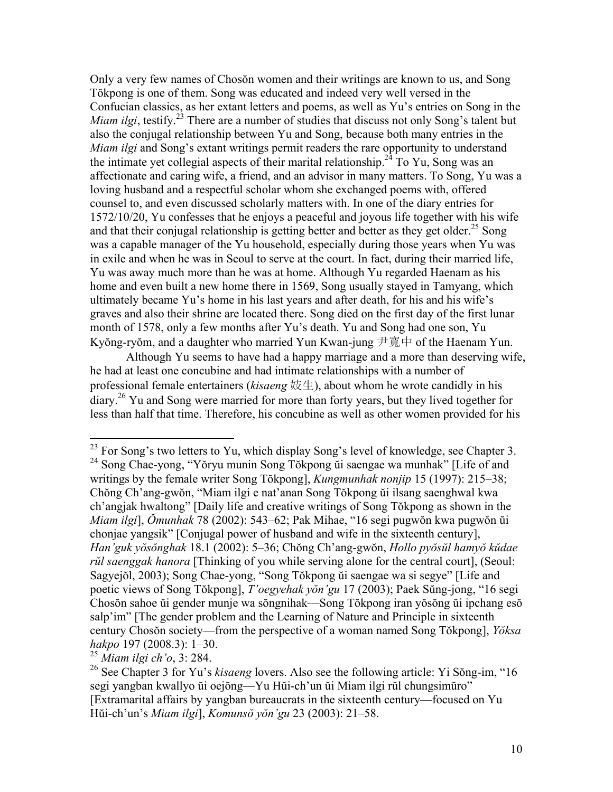Only a very few names of Chosŏn women and their writings are known to us, and Song Tŏkpong is one of them. Song was educated and indeed very well versed in the Confucian classics, as her extant letters and poems, as well as Yu's entries on Song in the *Miam ilgi*, testify.<sup>23</sup> There are a number of studies that discuss not only Song's talent but also the conjugal relationship between Yu and Song, because both many entries in the *Miam ilgi* and Song's extant writings permit readers the rare opportunity to understand the intimate yet collegial aspects of their marital relationship.<sup>24</sup> To Yu, Song was an affectionate and caring wife, a friend, and an advisor in many matters. To Song, Yu was a loving husband and a respectful scholar whom she exchanged poems with, offered counsel to, and even discussed scholarly matters with. In one of the diary entries for 1572/10/20, Yu confesses that he enjoys a peaceful and joyous life together with his wife and that their conjugal relationship is getting better and better as they get older.<sup>25</sup> Song was a capable manager of the Yu household, especially during those years when Yu was in exile and when he was in Seoul to serve at the court. In fact, during their married life, Yu was away much more than he was at home. Although Yu regarded Haenam as his home and even built a new home there in 1569, Song usually stayed in Tamyang, which ultimately became Yu's home in his last years and after death, for his and his wife's graves and also their shrine are located there. Song died on the first day of the first lunar month of 1578, only a few months after Yu's death. Yu and Song had one son, Yu Kyŏng-ryŏm, and a daughter who married Yun Kwan-jung 尹寬中 of the Haenam Yun.

Although Yu seems to have had a happy marriage and a more than deserving wife, he had at least one concubine and had intimate relationships with a number of professional female entertainers (*kisaeng* 妓生), about whom he wrote candidly in his diary.<sup>26</sup> Yu and Song were married for more than forty years, but they lived together for less than half that time. Therefore, his concubine as well as other women provided for his

<sup>25</sup> *Miam ilgi ch'o*, 3: 284.

1

 $^{23}$  For Song's two letters to Yu, which display Song's level of knowledge, see Chapter 3. 24 Song Chae-yong, "Yŏryu munin Song Tŏkpong ŭi saengae wa munhak" [Life of and writings by the female writer Song Tŏkpong], *Kungmunhak nonjip* 15 (1997): 215–38; Chŏng Ch'ang-gwŏn, "Miam ilgi e nat'anan Song Tŏkpong ŭi ilsang saenghwal kwa ch'angjak hwaltong" [Daily life and creative writings of Song Tŏkpong as shown in the *Miam ilgi*], *Ŏmunhak* 78 (2002): 543–62; Pak Mihae, "16 segi pugwŏn kwa pugwŏn ŭi chonjae yangsik" [Conjugal power of husband and wife in the sixteenth century], *Han'guk yŏsŏnghak* 18.1 (2002): 5–36; Chŏng Ch'ang-gwŏn, *Hollo pyŏsŭl hamyŏ kŭdae rŭl saenggak hanora* [Thinking of you while serving alone for the central court], (Seoul: Sagyejŏl, 2003); Song Chae-yong, "Song Tŏkpong ŭi saengae wa si segye" [Life and poetic views of Song Tŏkpong], *T'oegyehak yŏn'gu* 17 (2003); Paek Sŭng-jong, "16 segi Chosŏn sahoe ŭi gender munje wa sŏngnihak—Song Tŏkpong iran yŏsŏng ŭi ipchang esŏ salp'im" [The gender problem and the Learning of Nature and Principle in sixteenth century Chosŏn society—from the perspective of a woman named Song Tŏkpong], *Yŏksa hakpo* 197 (2008.3): 1–30.

<sup>26</sup> See Chapter 3 for Yu's *kisaeng* lovers. Also see the following article: Yi Sŏng-im, "16 segi yangban kwallyo ŭi oejŏng—Yu Hŭi-ch'un ŭi Miam ilgi rŭl chungsimŭro" [Extramarital affairs by yangban bureaucrats in the sixteenth century—focused on Yu Hŭi-ch'un's *Miam ilgi*], *Komunsŏ yŏn'gu* 23 (2003): 21–58.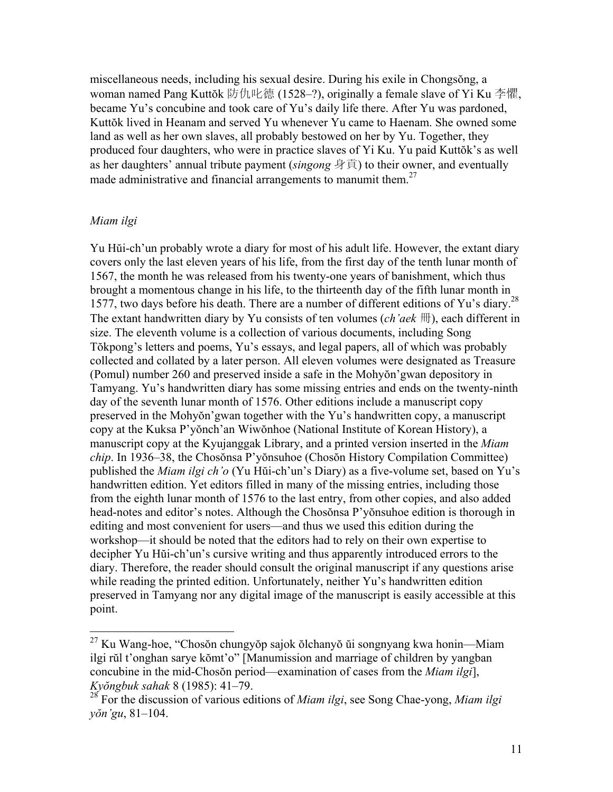miscellaneous needs, including his sexual desire. During his exile in Chongsŏng, a woman named Pang Kuttŏk 防仇叱德 (1528–?), originally a female slave of Yi Ku 李懼, became Yu's concubine and took care of Yu's daily life there. After Yu was pardoned, Kuttŏk lived in Heanam and served Yu whenever Yu came to Haenam. She owned some land as well as her own slaves, all probably bestowed on her by Yu. Together, they produced four daughters, who were in practice slaves of Yi Ku. Yu paid Kuttŏk's as well as her daughters' annual tribute payment (*singong* 身貢) to their owner, and eventually made administrative and financial arrangements to manumit them.<sup>27</sup>

### *Miam ilgi*

<u>.</u>

Yu Hŭi-ch'un probably wrote a diary for most of his adult life. However, the extant diary covers only the last eleven years of his life, from the first day of the tenth lunar month of 1567, the month he was released from his twenty-one years of banishment, which thus brought a momentous change in his life, to the thirteenth day of the fifth lunar month in 1577, two days before his death. There are a number of different editions of Yu's diary.<sup>28</sup> The extant handwritten diary by Yu consists of ten volumes (*ch'aek* 冊), each different in size. The eleventh volume is a collection of various documents, including Song Tŏkpong's letters and poems, Yu's essays, and legal papers, all of which was probably collected and collated by a later person. All eleven volumes were designated as Treasure (Pomul) number 260 and preserved inside a safe in the Mohyŏn'gwan depository in Tamyang. Yu's handwritten diary has some missing entries and ends on the twenty-ninth day of the seventh lunar month of 1576. Other editions include a manuscript copy preserved in the Mohyŏn'gwan together with the Yu's handwritten copy, a manuscript copy at the Kuksa P'yŏnch'an Wiwŏnhoe (National Institute of Korean History), a manuscript copy at the Kyujanggak Library, and a printed version inserted in the *Miam chip*. In 1936–38, the Chosŏnsa P'yŏnsuhoe (Chosŏn History Compilation Committee) published the *Miam ilgi ch'o* (Yu Hŭi-ch'un's Diary) as a five-volume set, based on Yu's handwritten edition. Yet editors filled in many of the missing entries, including those from the eighth lunar month of 1576 to the last entry, from other copies, and also added head-notes and editor's notes. Although the Chosŏnsa P'yŏnsuhoe edition is thorough in editing and most convenient for users—and thus we used this edition during the workshop—it should be noted that the editors had to rely on their own expertise to decipher Yu Hŭi-ch'un's cursive writing and thus apparently introduced errors to the diary. Therefore, the reader should consult the original manuscript if any questions arise while reading the printed edition. Unfortunately, neither Yu's handwritten edition preserved in Tamyang nor any digital image of the manuscript is easily accessible at this point.

 $^{27}$  Ku Wang-hoe, "Chosŏn chungyŏp sajok ŏlchanyŏ ŭi songnyang kwa honin—Miam ilgi rŭl t'onghan sarye kŏmt'o" [Manumission and marriage of children by yangban concubine in the mid-Chosŏn period—examination of cases from the *Miam ilgi*], *Kyŏngbuk sahak* 8 (1985): 41–79.

<sup>28</sup> For the discussion of various editions of *Miam ilgi*, see Song Chae-yong, *Miam ilgi yŏn'gu*, 81–104.